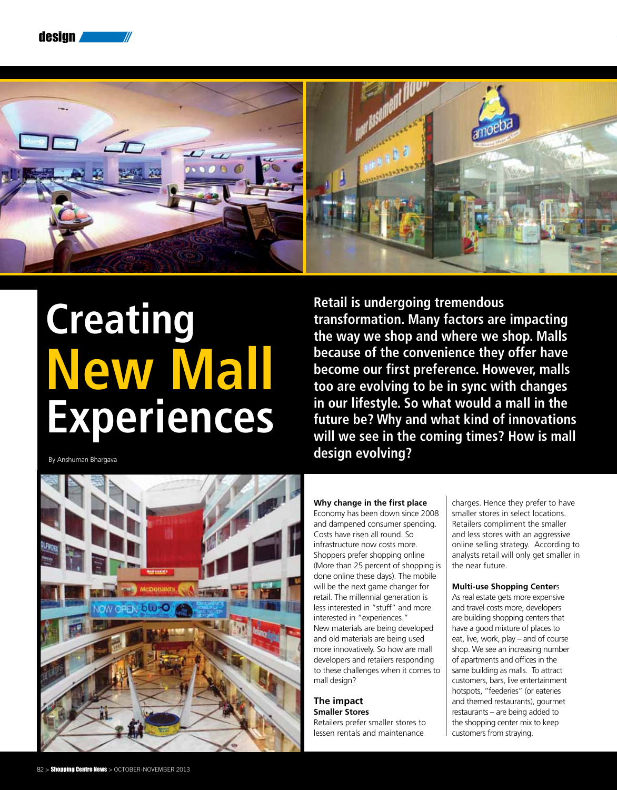



# **Creating New Mall Experiences**

By Anshuman Bhargava



**Retail is undergoing tremendous transformation. Many factors are impacting the way we shop and where we shop. Malls because of the convenience they offer have become our first preference. However, malls too are evolving to be in sync with changes in our lifestyle. So what would a mall in the future be? Why and what kind of innovations will we see in the coming times? How is mall design evolving?**

# **Why change in the first place**

Economy has been down since 2008 and dampened consumer spending. Costs have risen all round. So infrastructure now costs more. Shoppers prefer shopping online (More than 25 percent of shopping is done online these days). The mobile will be the next game changer for retail. The millennial generation is less interested in "stuff" and more interested in "experiences." New materials are being developed and old materials are being used more innovatively. So how are mall developers and retailers responding to these challenges when it comes to mall design?

# **The impact Smaller Stores**

Retailers prefer smaller stores to lessen rentals and maintenance

charges. Hence they prefer to have smaller stores in select locations. Retailers compliment the smaller and less stores with an aggressive online selling strategy. According to analysts retail will only get smaller in the near future.

## **Multi-use Shopping Center**s

As real estate gets more expensive and travel costs more, developers are building shopping centers that have a good mixture of places to eat, live, work, play – and of course shop. We see an increasing number of apartments and offices in the same building as malls. To attract customers, bars, live entertainment hotspots, "feederies" (or eateries and themed restaurants), gourmet restaurants – are being added to the shopping center mix to keep customers from straying.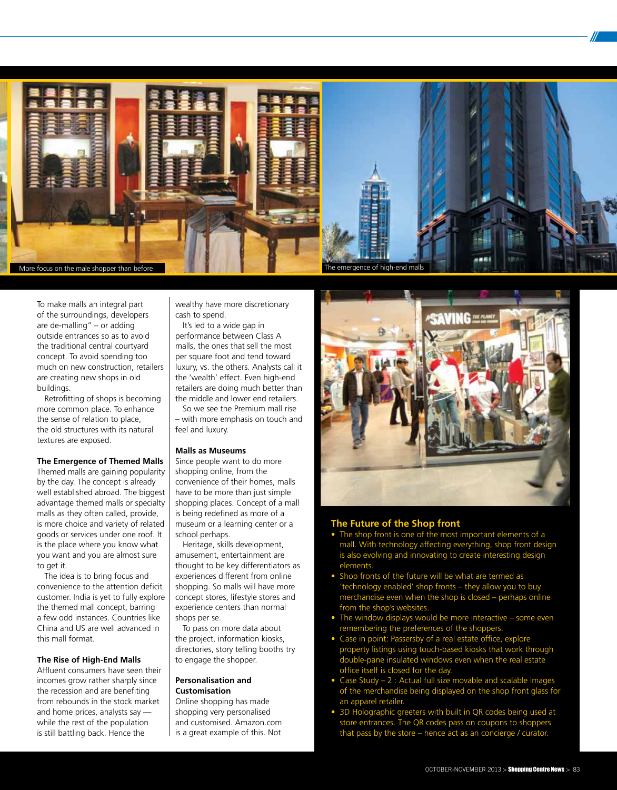

To make malls an integral part of the surroundings, developers are de-malling" – or adding outside entrances so as to avoid the traditional central courtyard concept. To avoid spending too much on new construction, retailers are creating new shops in old buildings.

Retrofitting of shops is becoming more common place. To enhance the sense of relation to place, the old structures with its natural textures are exposed.

# **The Emergence of Themed Malls**

Themed malls are gaining popularity by the day. The concept is already well established abroad. The biggest advantage themed malls or specialty malls as they often called, provide, is more choice and variety of related goods or services under one roof. It is the place where you know what you want and you are almost sure to get it.

The idea is to bring focus and convenience to the attention deficit customer. India is yet to fully explore the themed mall concept, barring a few odd instances. Countries like China and US are well advanced in this mall format.

#### **The Rise of High-End Malls**

Affluent consumers have seen their incomes grow rather sharply since the recession and are benefiting from rebounds in the stock market and home prices, analysts say while the rest of the population is still battling back. Hence the

wealthy have more discretionary cash to spend.

It's led to a wide gap in performance between Class A malls, the ones that sell the most per square foot and tend toward luxury, vs. the others. Analysts call it the 'wealth' effect. Even high-end retailers are doing much better than the middle and lower end retailers.

So we see the Premium mall rise – with more emphasis on touch and feel and luxury.

## **Malls as Museums**

Since people want to do more shopping online, from the convenience of their homes, malls have to be more than just simple shopping places. Concept of a mall is being redefined as more of a museum or a learning center or a school perhaps.

Heritage, skills development, amusement, entertainment are thought to be key differentiators as experiences different from online shopping. So malls will have more concept stores, lifestyle stores and experience centers than normal shops per se.

To pass on more data about the project, information kiosks, directories, story telling booths try to engage the shopper.

## **Personalisation and Customisation**

Online shopping has made shopping very personalised and customised. Amazon.com is a great example of this. Not



# **The Future of the Shop front**

- The shop front is one of the most important elements of a mall. With technology affecting everything, shop front design is also evolving and innovating to create interesting design elements.
- Shop fronts of the future will be what are termed as 'technology enabled' shop fronts – they allow you to buy merchandise even when the shop is closed – perhaps online from the shop's websites.
- The window displays would be more interactive some even remembering the preferences of the shoppers.
- Case in point: Passersby of a real estate office, explore property listings using touch-based kiosks that work through double-pane insulated windows even when the real estate office itself is closed for the day.
- Case Study 2 : Actual full size movable and scalable images of the merchandise being displayed on the shop front glass for an apparel retailer.
- 3D Holographic greeters with built in QR codes being used at store entrances. The QR codes pass on coupons to shoppers that pass by the store – hence act as an concierge / curator.